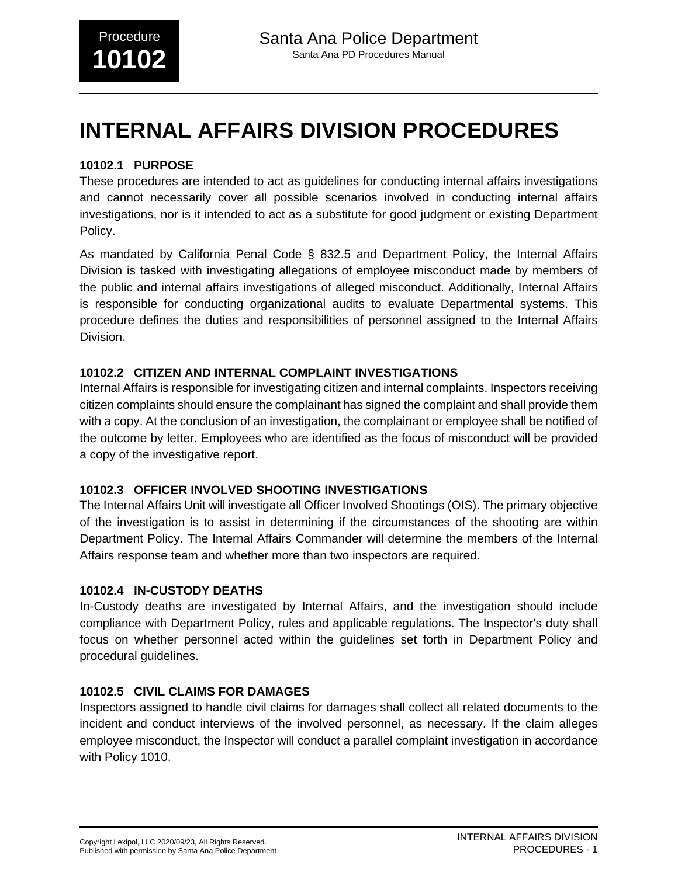# **INTERNAL AFFAIRS DIVISION PROCEDURES**

# **10102.1 PURPOSE**

These procedures are intended to act as guidelines for conducting internal affairs investigations and cannot necessarily cover all possible scenarios involved in conducting internal affairs investigations, nor is it intended to act as a substitute for good judgment or existing Department Policy.

As mandated by California Penal Code § 832.5 and Department Policy, the Internal Affairs Division is tasked with investigating allegations of employee misconduct made by members of the public and internal affairs investigations of alleged misconduct. Additionally, Internal Affairs is responsible for conducting organizational audits to evaluate Departmental systems. This procedure defines the duties and responsibilities of personnel assigned to the Internal Affairs Division.

# **10102.2 CITIZEN AND INTERNAL COMPLAINT INVESTIGATIONS**

Internal Affairs is responsible for investigating citizen and internal complaints. Inspectors receiving citizen complaints should ensure the complainant has signed the complaint and shall provide them with a copy. At the conclusion of an investigation, the complainant or employee shall be notified of the outcome by letter. Employees who are identified as the focus of misconduct will be provided a copy of the investigative report.

# **10102.3 OFFICER INVOLVED SHOOTING INVESTIGATIONS**

The Internal Affairs Unit will investigate all Officer Involved Shootings (OIS). The primary objective of the investigation is to assist in determining if the circumstances of the shooting are within Department Policy. The Internal Affairs Commander will determine the members of the Internal Affairs response team and whether more than two inspectors are required.

## **10102.4 IN-CUSTODY DEATHS**

In-Custody deaths are investigated by Internal Affairs, and the investigation should include compliance with Department Policy, rules and applicable regulations. The Inspector's duty shall focus on whether personnel acted within the guidelines set forth in Department Policy and procedural guidelines.

# **10102.5 CIVIL CLAIMS FOR DAMAGES**

Inspectors assigned to handle civil claims for damages shall collect all related documents to the incident and conduct interviews of the involved personnel, as necessary. If the claim alleges employee misconduct, the Inspector will conduct a parallel complaint investigation in accordance with Policy 1010.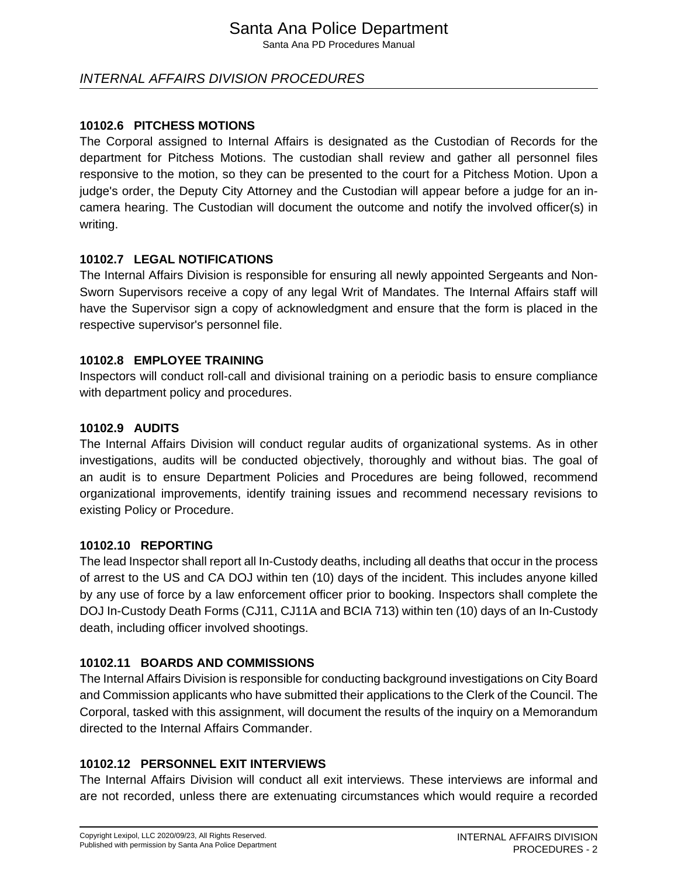# Santa Ana Police Department

Santa Ana PD Procedures Manual

# INTERNAL AFFAIRS DIVISION PROCEDURES

#### **10102.6 PITCHESS MOTIONS**

The Corporal assigned to Internal Affairs is designated as the Custodian of Records for the department for Pitchess Motions. The custodian shall review and gather all personnel files responsive to the motion, so they can be presented to the court for a Pitchess Motion. Upon a judge's order, the Deputy City Attorney and the Custodian will appear before a judge for an incamera hearing. The Custodian will document the outcome and notify the involved officer(s) in writing.

#### **10102.7 LEGAL NOTIFICATIONS**

The Internal Affairs Division is responsible for ensuring all newly appointed Sergeants and Non-Sworn Supervisors receive a copy of any legal Writ of Mandates. The Internal Affairs staff will have the Supervisor sign a copy of acknowledgment and ensure that the form is placed in the respective supervisor's personnel file.

#### **10102.8 EMPLOYEE TRAINING**

Inspectors will conduct roll-call and divisional training on a periodic basis to ensure compliance with department policy and procedures.

#### **10102.9 AUDITS**

The Internal Affairs Division will conduct regular audits of organizational systems. As in other investigations, audits will be conducted objectively, thoroughly and without bias. The goal of an audit is to ensure Department Policies and Procedures are being followed, recommend organizational improvements, identify training issues and recommend necessary revisions to existing Policy or Procedure.

#### **10102.10 REPORTING**

The lead Inspector shall report all In-Custody deaths, including all deaths that occur in the process of arrest to the US and CA DOJ within ten (10) days of the incident. This includes anyone killed by any use of force by a law enforcement officer prior to booking. Inspectors shall complete the DOJ In-Custody Death Forms (CJ11, CJ11A and BCIA 713) within ten (10) days of an In-Custody death, including officer involved shootings.

## **10102.11 BOARDS AND COMMISSIONS**

The Internal Affairs Division is responsible for conducting background investigations on City Board and Commission applicants who have submitted their applications to the Clerk of the Council. The Corporal, tasked with this assignment, will document the results of the inquiry on a Memorandum directed to the Internal Affairs Commander.

## **10102.12 PERSONNEL EXIT INTERVIEWS**

The Internal Affairs Division will conduct all exit interviews. These interviews are informal and are not recorded, unless there are extenuating circumstances which would require a recorded